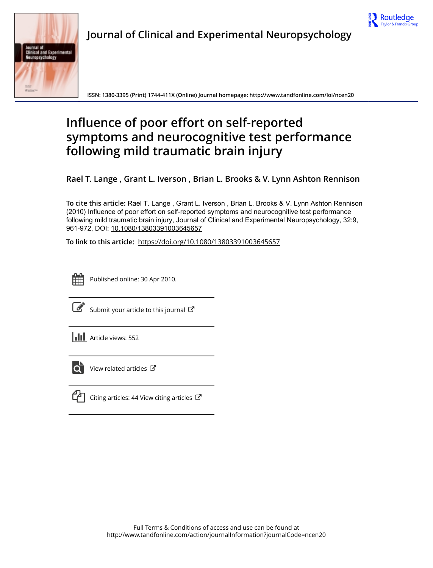



**ISSN: 1380-3395 (Print) 1744-411X (Online) Journal homepage: <http://www.tandfonline.com/loi/ncen20>**

# **Influence of poor effort on self-reported symptoms and neurocognitive test performance following mild traumatic brain injury**

**Rael T. Lange , Grant L. Iverson , Brian L. Brooks & V. Lynn Ashton Rennison**

**To cite this article:** Rael T. Lange , Grant L. Iverson , Brian L. Brooks & V. Lynn Ashton Rennison (2010) Influence of poor effort on self-reported symptoms and neurocognitive test performance following mild traumatic brain injury, Journal of Clinical and Experimental Neuropsychology, 32:9, 961-972, DOI: [10.1080/13803391003645657](http://www.tandfonline.com/action/showCitFormats?doi=10.1080/13803391003645657)

**To link to this article:** <https://doi.org/10.1080/13803391003645657>



Published online: 30 Apr 2010.

[Submit your article to this journal](http://www.tandfonline.com/action/authorSubmission?journalCode=ncen20&show=instructions)  $\mathbb{Z}$ 

 $\left\| \cdot \right\|$  Article views: 552



 $\overline{Q}$  [View related articles](http://www.tandfonline.com/doi/mlt/10.1080/13803391003645657)  $\overline{C}$ 



 $\Box$  [Citing articles: 44 View citing articles](http://www.tandfonline.com/doi/citedby/10.1080/13803391003645657#tabModule)  $\Box$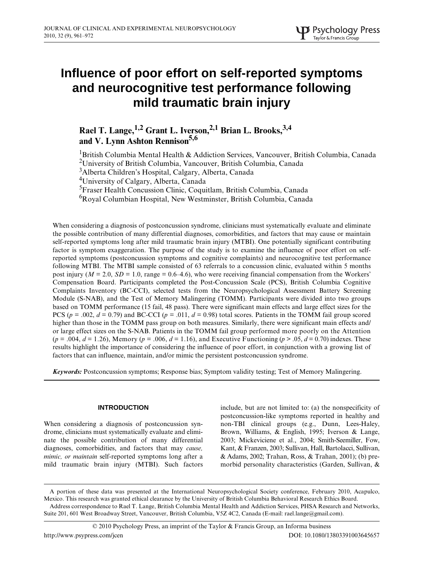# Influence of poor effort on self-reported symptoms **and neurocognitive test performance following mild traumatic brain injury**

Rael T. Lange,<sup>1,2</sup> Grant L. Iverson,<sup>2,1</sup> Brian L. Brooks,<sup>3,4</sup> **and V. Lynn Ashton Rennison5,6**

<sup>1</sup>British Columbia Mental Health & Addiction Services, Vancouver, British Columbia, Canada 2 University of British Columbia, Vancouver, British Columbia, Canada

3 Alberta Children's Hospital, Calgary, Alberta, Canada

4 University of Calgary, Alberta, Canada

<sup>5</sup>Fraser Health Concussion Clinic, Coquitlam, British Columbia, Canada

6 Royal Columbian Hospital, New Westminster, British Columbia, Canada

When considering a diagnosis of postconcussion syndrome, clinicians must systematically evaluate and eliminate the possible contribution of many differential diagnoses, comorbidities, and factors that may cause or maintain self-reported symptoms long after mild traumatic brain injury (MTBI). One potentially significant contributing factor is symptom exaggeration. The purpose of the study is to examine the influence of poor effort on selfreported symptoms (postconcussion symptoms and cognitive complaints) and neurocognitive test performance following MTBI. The MTBI sample consisted of 63 referrals to a concussion clinic, evaluated within 5 months post injury ( $M = 2.0$ ,  $SD = 1.0$ , range = 0.6–4.6), who were receiving financial compensation from the Workers' Compensation Board. Participants completed the Post-Concussion Scale (PCS), British Columbia Cognitive Complaints Inventory (BC-CCI), selected tests from the Neuropsychological Assessment Battery Screening Module (S-NAB), and the Test of Memory Malingering (TOMM). Participants were divided into two groups based on TOMM performance (15 fail, 48 pass). There were significant main effects and large effect sizes for the PCS ( $p = .002$ ,  $d = 0.79$ ) and BC-CCI ( $p = .011$ ,  $d = 0.98$ ) total scores. Patients in the TOMM fail group scored higher than those in the TOMM pass group on both measures. Similarly, there were significant main effects and/ or large effect sizes on the S-NAB. Patients in the TOMM fail group performed more poorly on the Attention  $(p = .004, d = 1.26)$ , Memory  $(p = .006, d = 1.16)$ , and Executive Functioning  $(p > .05, d = 0.70)$  indexes. These results highlight the importance of considering the influence of poor effort, in conjunction with a growing list of factors that can influence, maintain, and/or mimic the persistent postconcussion syndrome.

*Keywords:* Postconcussion symptoms; Response bias; Symptom validity testing; Test of Memory Malingering.

## **INTRODUCTION**

When considering a diagnosis of postconcussion syndrome, clinicians must systematically evaluate and eliminate the possible contribution of many differential diagnoses, comorbidities, and factors that may *cause, mimic, or maintain* self-reported symptoms long after a mild traumatic brain injury (MTBI). Such factors include, but are not limited to: (a) the nonspecificity of postconcussion-like symptoms reported in healthy and non-TBI clinical groups (e.g., Dunn, Lees-Haley, Brown, Williams, & English, 1995; Iverson & Lange, 2003; Mickeviciene et al., 2004; Smith-Seemiller, Fow, Kant, & Franzen, 2003; Sullivan, Hall, Bartolacci, Sullivan, & Adams, 2002; Trahan, Ross, & Trahan, 2001); (b) premorbid personality characteristics (Garden, Sullivan, &

A portion of these data was presented at the International Neuropsychological Society conference, February 2010, Acapulco, Mexico. This research was granted ethical clearance by the University of British Columbia Behavioral Research Ethics Board. Address correspondence to Rael T. Lange, British Columbia Mental Health and Addiction Services, PHSA Research and Networks, Suite 201, 601 West Broadway Street, Vancouver, British Columbia, V5Z 4C2, Canada (E-mail: rael[.lange@gmail.com](mailto:lange@gmail.com)).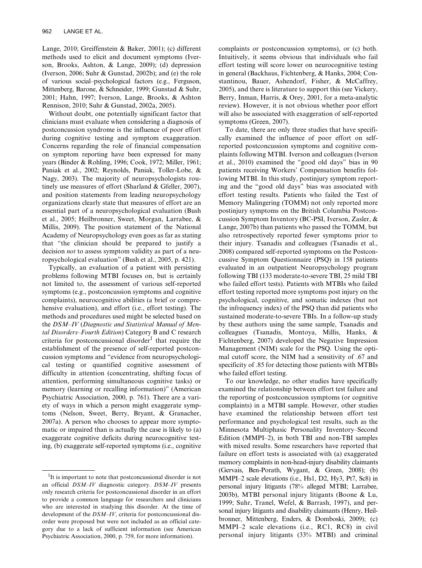Lange, 2010; Greiffenstein & Baker, 2001); (c) different methods used to elicit and document symptoms (Iverson, Brooks, Ashton, & Lange, 2009); (d) depression (Iverson, 2006; Suhr & Gunstad, 2002b); and (e) the role of various social–psychological factors (e.g., Ferguson, Mittenberg, Barone, & Schneider, 1999; Gunstad & Suhr, 2001; Hahn, 1997; Iverson, Lange, Brooks, & Ashton Rennison, 2010; Suhr & Gunstad, 2002a, 2005).

Without doubt, one potentially significant factor that clinicians must evaluate when considering a diagnosis of postconcussion syndrome is the influence of poor effort during cognitive testing and symptom exaggeration. Concerns regarding the role of financial compensation on symptom reporting have been expressed for many years (Binder & Rohling, 1996; Cook, 1972; Miller, 1961; Paniak et al., 2002; Reynolds, Paniak, Toller-Lobe, & Nagy, 2003). The majority of neuropsychologists routinely use measures of effort (Sharland & Gfeller, 2007), and position statements from leading neuropsychology organizations clearly state that measures of effort are an essential part of a neuropsychological evaluation (Bush et al., 2005; Heilbronner, Sweet, Morgan, Larrabee, & Millis, 2009). The position statement of the National Academy of Neuropsychology even goes as far as stating that "the clinician should be prepared to justify a decision *not* to assess symptom validity as part of a neuropsychological evaluation" (Bush et al., 2005, p. 421).

Typically, an evaluation of a patient with persisting problems following MTBI focuses on, but is certainly not limited to, the assessment of various self-reported symptoms (e.g., postconcussion symptoms and cognitive complaints), neurocognitive abilities (a brief or comprehensive evaluation), and effort (i.e., effort testing). The methods and procedures used might be selected based on the *DSM–IV* (*Diagnostic and Statistical Manual of Mental Disorders–Fourth Edition*) Category B and C research criteria for postconcussional disorder<sup>1</sup> that require the establishment of the presence of self-reported postconcussion symptoms and "evidence from neuropsychological testing or quantified cognitive assessment of difficulty in attention (concentrating, shifting focus of attention, performing simultaneous cognitive tasks) or memory (learning or recalling information)" (American Psychiatric Association, 2000, p. 761). There are a variety of ways in which a person might exaggerate symptoms (Nelson, Sweet, Berry, Bryant, & Granacher, 2007a). A person who chooses to appear more symptomatic or impaired than is actually the case is likely to (a) exaggerate cognitive deficits during neurocognitive testing, (b) exaggerate self-reported symptoms (i.e., cognitive

complaints or postconcussion symptoms), or (c) both. Intuitively, it seems obvious that individuals who fail effort testing will score lower on neurocognitive testing in general (Backhaus, Fichtenberg, & Hanks, 2004; Constantinou, Bauer, Ashendorf, Fisher, & McCaffrey, 2005), and there is literature to support this (see Vickery, Berry, Inman, Harris, & Orey, 2001, for a meta-analytic review). However, it is not obvious whether poor effort will also be associated with exaggeration of self-reported symptoms (Green, 2007).

To date, there are only three studies that have specifically examined the influence of poor effort on selfreported postconcussion symptoms and cognitive complaints following MTBI. Iverson and colleagues (Iverson et al., 2010) examined the "good old days" bias in 90 patients receiving Workers' Compensation benefits following MTBI. In this study, postinjury symptom reporting and the "good old days" bias was associated with effort testing results. Patients who failed the Test of Memory Malingering (TOMM) not only reported more postinjury symptoms on the British Columbia Postconcussion Symptom Inventory (BC-PSI, Iverson, Zasler, & Lange, 2007b) than patients who passed the TOMM, but also retrospectively reported fewer symptoms prior to their injury. Tsanadis and colleagues (Tsanadis et al., 2008) compared self-reported symptoms on the Postconcussive Symptom Questionnaire (PSQ) in 158 patients evaluated in an outpatient Neuropsychology program following TBI (133 moderate-to-severe TBI, 25 mild TBI who failed effort tests). Patients with MTBIs who failed effort testing reported more symptoms post injury on the psychological, cognitive, and somatic indexes (but not the infrequency index) of the PSQ than did patients who sustained moderate-to-severe TBIs. In a follow-up study by these authors using the same sample, Tsanadis and colleagues (Tsanadis, Montoya, Millis, Hanks, & Fichtenberg, 2007) developed the Negative Impression Management (NIM) scale for the PSQ. Using the optimal cutoff score, the NIM had a sensitivity of .67 and specificity of .85 for detecting those patients with MTBIs who failed effort testing.

To our knowledge, no other studies have specifically examined the relationship between effort test failure and the reporting of postconcussion symptoms (or cognitive complaints) in a MTBI sample. However, other studies have examined the relationship between effort test performance and psychological test results, such as the Minnesota Multiphasic Personality Inventory–Second Edition (MMPI–2), in both TBI and non-TBI samples with mixed results. Some researchers have reported that failure on effort tests is associated with (a) exaggerated memory complaints in non-head-injury disability claimants (Gervais, Ben-Porath, Wygant, & Green, 2008); (b) MMPI–2 scale elevations (i.e., Hs1, D2, Hy3, Pt7, Sc8) in personal injury litigants (78% alleged MTBI; Larrabee, 2003b), MTBI personal injury litigants (Boone & Lu, 1999; Suhr, Tranel, Wefel, & Barrash, 1997), and personal injury litigants and disability claimants (Henry, Heilbronner, Mittenberg, Enders, & Domboski, 2009); (c) MMPI–2 scale elevations (i.e., RC1, RC8) in civil personal injury litigants (33% MTBI) and criminal

<sup>&</sup>lt;sup>1</sup>It is important to note that postconcussional disorder is not an official *DSM–IV* diagnostic category. *DSM–IV* presents only research criteria for postconcussional disorder in an effort to provide a common language for researchers and clinicians who are interested in studying this disorder. At the time of development of the *DSM–IV*, criteria for postconcussional disorder were proposed but were not included as an official category due to a lack of sufficient information (see American Psychiatric Association, 2000, p. 759, for more information).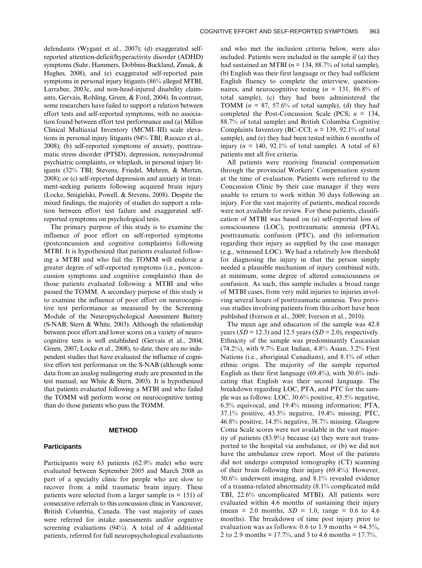defendants (Wygant et al., 2007); (d) exaggerated selfreported attention-deficit/hyperactivity disorder (ADHD) symptoms (Suhr, Hammers, Dobbins-Buckland, Zimak, & Hughes, 2008), and (e) exaggerated self-reported pain symptoms in personal injury litigants (86% alleged MTBI, Larrabee, 2003c, and non-head-injured disability claimants, Gervais, Rohling, Green, & Ford, 2004). In contrast, some researchers have failed to support a relation between effort tests and self-reported symptoms, with no association found between effort test performance and (a) Millon Clinical Multiaxial Inventory (MCMI–III) scale elevations in personal injury litigants (94% TBI; Ruocco et al., 2008); (b) self-reported symptoms of anxiety, posttraumatic stress disorder (PTSD), depression, nonsyndromal psychiatric complaints, or whiplash, in personal injury litigants (32% TBI; Stevens, Friedel, Mehren, & Merten, 2008); or (c) self-reported depression and anxiety in treatment-seeking patients following acquired brain injury (Locke, Smigielski, Powell, & Stevens, 2008). Despite the mixed findings, the majority of studies do support a relation between effort test failure and exaggerated selfreported symptoms on psychological tests.

The primary purpose of this study is to examine the influence of poor effort on self-reported symptoms (postconcussion and cognitive complaints) following MTBI. It is hypothesized that patients evaluated following a MTBI and who fail the TOMM will endorse a greater degree of self-reported symptoms (i.e., postconcussion symptoms and cognitive complaints) than do those patients evaluated following a MTBI and who passed the TOMM. A secondary purpose of this study is to examine the influence of poor effort on neurocognitive test performance as measured by the Screening Module of the Neuropsychological Assessment Battery (S-NAB; Stern & White, 2003). Although the relationship between poor effort and lower scores on a variety of neurocognitive tests is well established (Gervais et al., 2004; Green, 2007; Locke et al., 2008), to date, there are no independent studies that have evaluated the influence of cognitive effort test performance on the S-NAB (although some data from an analog malingering study are presented in the test manual; see White & Stern, 2003). It is hypothesized that patients evaluated following a MTBI and who failed the TOMM will perform worse on neurocognitive testing than do those patients who pass the TOMM.

#### **METHOD**

#### **Participants**

Participants were 63 patients (62.9% male) who were evaluated between September 2005 and March 2008 as part of a specialty clinic for people who are slow to recover from a mild traumatic brain injury. These patients were selected from a larger sample (*n* = 151) of consecutive referrals to this concussion clinic in Vancouver, British Columbia, Canada. The vast majority of cases were referred for intake assessments and/or cognitive screening evaluations (94%). A total of 4 additional patients, referred for full neuropsychological evaluations

and who met the inclusion criteria below, were also included. Patients were included in the sample if (a) they had sustained an MTBI ( $n = 134$ , 88.7% of total sample), (b) English was their first language or they had sufficient English fluency to complete the interview, questionnaires, and neurocognitive testing  $(n = 131, 86.8\%$  of total sample), (c) they had been administered the TOMM ( $n = 87, 57.6\%$  of total sample), (d) they had completed the Post-Concussion Scale (PCS:  $n = 134$ , 88.7% of total sample) and British Columbia Cognitive Complaints Inventory (BC-CCI;  $n = 139, 92.1\%$  of total sample), and (e) they had been tested within 6 months of injury ( $n = 140$ , 92.1% of total sample). A total of 63 patients met all five criteria.

All patients were receiving financial compensation through the provincial Workers' Compensation system at the time of evaluation. Patients were referred to the Concussion Clinic by their case manager if they were unable to return to work within 30 days following an injury. For the vast majority of patients, medical records were not available for review. For these patients, classification of MTBI was based on (a) self-reported loss of consciousness (LOC), posttraumatic amnesia (PTA), posttraumatic confusion (PTC), and (b) information regarding their injury as supplied by the case manager (e.g., witnessed LOC). We had a relatively low threshold for diagnosing the injury in that the person simply needed a plausible mechanism of injury combined with, at minimum, some degree of altered consciousness or confusion. As such, this sample includes a broad range of MTBI cases, from very mild injuries to injuries involving several hours of posttraumatic amnesia. Two previous studies involving patients from this cohort have been published (Iverson et al., 2009; Iverson et al., 2010).

The mean age and education of the sample was 42.8 years  $(SD = 12.3)$  and 12.5 years  $(SD = 2.0)$ , respectively. Ethnicity of the sample was predominantly Caucasian (74.2%), with 9.7% East Indian, 4.8% Asian, 3.2% First Nations (i.e., aboriginal Canadians), and 8.1% of other ethnic origin. The majority of the sample reported English as their first language (69.4%), with 30.6% indicating that English was their second language. The breakdown regarding LOC, PTA, and PTC for the sample was as follows: LOC, 30.6% positive, 43.5% negative, 6.5% equivocal, and 19.4% missing information; PTA, 37.1% positive, 43.5% negative, 19.4% missing; PTC, 46.8% positive, 14.5% negative, 38.7% missing. Glasgow Coma Scale scores were not available in the vast majority of patients (83.9%) because (a) they were not transported to the hospital via ambulance, or (b) we did not have the ambulance crew report. Most of the patients did not undergo computed tomography (CT) scanning of their brain following their injury (69.4%). However, 30.6% underwent imaging, and 8.1% revealed evidence of a trauma-related abnormality (8.1% complicated mild TBI, 22.6% uncomplicated MTBI). All patients were evaluated within 4.6 months of sustaining their injury (mean = 2.0 months,  $SD = 1.0$ , range = 0.6 to 4.6 months). The breakdown of time post injury prior to evaluation was as follows: 0.6 to 1.9 months =  $64.5\%$ , 2 to 2.9 months =  $17.7\%$ , and 3 to 4.6 months =  $17.7\%$ .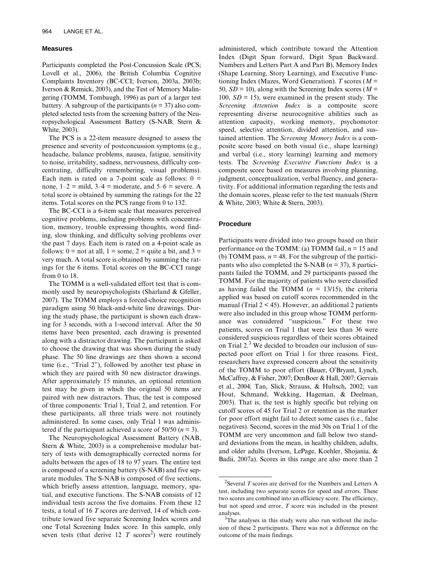#### **Measures**

Participants completed the Post-Concussion Scale (PCS; Lovell et al., 2006), the British Columbia Cognitive Complaints Inventory (BC-CCI; Iverson, 2003a, 2003b; Iverson & Remick, 2003), and the Test of Memory Malingering (TOMM, Tombaugh, 1996) as part of a larger test battery. A subgroup of the participants  $(n = 37)$  also completed selected tests from the screening battery of the Neuropsychological Assessment Battery (S-NAB; Stern & White, 2003).

The PCS is a 22-item measure designed to assess the presence and severity of postconcussion symptoms (e.g., headache, balance problems, nausea, fatigue, sensitivity to noise, irritability, sadness, nervousness, difficulty concentrating, difficulty remembering, visual problems). Each item is rated on a 7-point scale as follows:  $0 =$ none,  $1-2$  = mild,  $3-4$  = moderate, and  $5-6$  = severe. A total score is obtained by summing the ratings for the 22 items. Total scores on the PCS range from 0 to 132.

The BC-CCI is a 6-item scale that measures perceived cognitive problems, including problems with concentration, memory, trouble expressing thoughts, word finding, slow thinking, and difficulty solving problems over the past 7 days. Each item is rated on a 4-point scale as follows:  $0 =$  not at all,  $1 =$  some,  $2 =$  quite a bit, and  $3 =$ very much. A total score is obtained by summing the ratings for the 6 items. Total scores on the BC-CCI range from 0 to 18.

The TOMM is a well-validated effort test that is commonly used by neuropsychologists (Sharland & Gfeller, 2007). The TOMM employs a forced-choice recognition paradigm using 50 black-and-white line drawings. During the study phase, the participant is shown each drawing for 3 seconds, with a 1-second interval. After the 50 items have been presented, each drawing is presented along with a distractor drawing. The participant is asked to choose the drawing that was shown during the study phase. The 50 line drawings are then shown a second time (i.e., "Trial 2"), followed by another test phase in which they are paired with 50 new distractor drawings. After approximately 15 minutes, an optional retention test may be given in which the original 50 items are paired with new distractors. Thus, the test is composed of three components: Trial 1, Trial 2, and retention. For these participants, all three trials were not routinely administered. In some cases, only Trial 1 was administered if the participant achieved a score of 50/50  $(n = 3)$ .

The Neuropsychological Assessment Battery (NAB, Stern & White, 2003) is a comprehensive modular battery of tests with demographically corrected norms for adults between the ages of 18 to 97 years. The entire test is composed of a screening battery (S-NAB) and five separate modules. The S-NAB is composed of five sections, which briefly assess attention, language, memory, spatial, and executive functions. The S-NAB consists of 12 individual tests across the five domains. From these 12 tests, a total of 16 *T* scores are derived, 14 of which contribute toward five separate Screening Index scores and one Total Screening Index score. In this sample, only seven tests (that derive  $12$   $T$  scores<sup>2</sup>) were routinely

administered, which contribute toward the Attention Index (Digit Span forward, Digit Span Backward. Numbers and Letters Part A and Part B), Memory Index (Shape Learning, Story Learning), and Executive Functioning Index (Mazes, Word Generation). *T* scores (*M* = 50,  $SD = 10$ ), along with the Screening Index scores ( $M =$ 100, *SD* = 15), were examined in the present study. The *Screening Attention Index* is a composite score representing diverse neurocognitive abilities such as attention capacity, working memory, psychomotor speed, selective attention, divided attention, and sustained attention. The *Screening Memory Index* is a composite score based on both visual (i.e., shape learning) and verbal (i.e., story learning) learning and memory tests. The *Screening Executive Functions Index* is a composite score based on measures involving planning, judgment, conceptualization, verbal fluency, and generativity. For additional information regarding the tests and the domain scores, please refer to the test manuals (Stern & White, 2003; White & Stern, 2003).

### **Procedure**

Participants were divided into two groups based on their performance on the TOMM: (a) TOMM fail, *n* = 15 and (b) TOMM pass,  $n = 48$ . For the subgroup of the participants who also completed the S-NAB (*n* = 37), 8 participants failed the TOMM, and 29 participants passed the TOMM. For the majority of patients who were classified as having failed the TOMM  $(n = 13/15)$ , the criteria applied was based on cutoff scores recommended in the manual (Trial 2 < 45). However, an additional 2 patients were also included in this group whose TOMM performance was considered "suspicious." For these two patients, scores on Trial 1 that were less than 36 were considered suspicious regardless of their scores obtained on Trial 2.<sup>3</sup> We decided to broaden our inclusion of suspected poor effort on Trial 1 for three reasons. First, researchers have expressed concern about the sensitivity of the TOMM to poor effort (Bauer, O'Bryant, Lynch, McCaffrey, & Fisher, 2007; DenBoer & Hall, 2007; Gervais et al., 2004; Tan, Slick, Strauss, & Hultsch, 2002; van Hout, Schmand, Wekking, Hageman, & Deelman, 2003). That is, the test is highly specific but relying on cutoff scores of 45 for Trial 2 or retention as the marker for poor effort might fail to detect some cases (i.e., false negatives). Second, scores in the mid 30s on Trial 1 of the TOMM are very uncommon and fall below two standard deviations from the mean, in healthy children, adults, and older adults (Iverson, LePage, Koehler, Shojania, & Badii, 2007a). Scores in this range are also more than 2

<sup>2</sup>Several *T* scores are derived for the Numbers and Letters A test, including two separate scores for speed and errors. These two scores are combined into an efficiency score. The efficiency, but not speed and error, *T* score was included in the present analyses.

<sup>&</sup>lt;sup>3</sup>The analyses in this study were also run without the inclusion of these 2 participants. There was not a difference on the outcome of the main findings.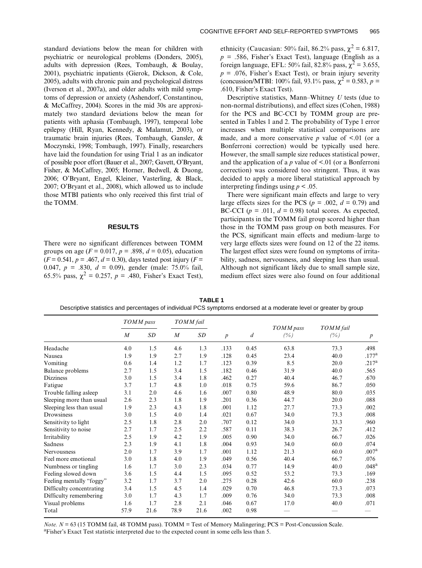standard deviations below the mean for children with psychiatric or neurological problems (Donders, 2005), adults with depression (Rees, Tombaugh, & Boulay, 2001), psychiatric inpatients (Gierok, Dickson, & Cole, 2005), adults with chronic pain and psychological distress (Iverson et al., 2007a), and older adults with mild symptoms of depression or anxiety (Ashendorf, Constantinou, & McCaffrey, 2004). Scores in the mid 30s are approximately two standard deviations below the mean for patients with aphasia (Tombaugh, 1997), temporal lobe epilepsy (Hill, Ryan, Kennedy, & Malamut, 2003), or traumatic brain injuries (Rees, Tombaugh, Gansler, & Moczynski, 1998; Tombaugh, 1997). Finally, researchers have laid the foundation for using Trial 1 as an indicator of possible poor effort (Bauer et al., 2007; Gavett, O'Bryant, Fisher, & McCaffrey, 2005; Horner, Bedwell, & Duong, 2006; O'Bryant, Engel, Kleiner, Vasterling, & Black, 2007; O'Bryant et al., 2008), which allowed us to include those MTBI patients who only received this first trial of the TOMM.

#### **RESULTS**

There were no significant differences between TOMM groups on age ( $F = 0.017$ ,  $p = .898$ ,  $d = 0.05$ ), education  $(F = 0.541, p = .467, d = 0.30)$ , days tested post injury  $(F = 0.541, p = .467, d = 0.30)$ 0.047, *p* = .830, *d* = 0.09), gender (male: 75.0% fail, 65.5% pass,  $\chi^2 = 0.257$ ,  $p = .480$ , Fisher's Exact Test),

ethnicity (Caucasian: 50% fail, 86.2% pass,  $\chi^2$  = 6.817,  $p = .586$ , Fisher's Exact Test), language (English as a foreign language, EFL: 50% fail, 82.8% pass,  $\chi^2$  = 3.655,  $p = .076$ , Fisher's Exact Test), or brain injury severity (concussion/MTBI: 100% fail, 93.1% pass,  $\chi^2 = 0.583$ ,  $p =$ .610, Fisher's Exact Test).

Descriptive statistics, Mann–Whitney *U* tests (due to non-normal distributions), and effect sizes (Cohen, 1988) for the PCS and BC-CCI by TOMM group are presented in Tables 1 and 2. The probability of Type 1 error increases when multiple statistical comparisons are made, and a more conservative  $p$  value of  $\leq 01$  (or a Bonferroni correction) would be typically used here. However, the small sample size reduces statistical power, and the application of a *p* value of <.01 (or a Bonferroni correction) was considered too stringent. Thus, it was decided to apply a more liberal statistical approach by interpreting findings using  $p < .05$ .

There were significant main effects and large to very large effects sizes for the PCS ( $p = .002$ ,  $d = 0.79$ ) and BC-CCI  $(p = .011, d = 0.98)$  total scores. As expected, participants in the TOMM fail group scored higher than those in the TOMM pass group on both measures. For the PCS, significant main effects and medium–large to very large effects sizes were found on 12 of the 22 items. The largest effect sizes were found on symptoms of irritability, sadness, nervousness, and sleeping less than usual. Although not significant likely due to small sample size, medium effect sizes were also found on four additional

| <b>TABLE 1</b>                                                                                                     |
|--------------------------------------------------------------------------------------------------------------------|
| Descriptive statistics and percentages of individual PCS symptoms endorsed at a moderate level or greater by group |

|                          | TOMM pass        |      | TOMM fail        |      |                                      |                  |                     |                  |                   |
|--------------------------|------------------|------|------------------|------|--------------------------------------|------------------|---------------------|------------------|-------------------|
|                          | $\boldsymbol{M}$ | SD   | $\boldsymbol{M}$ | SD   | $\boldsymbol{d}$<br>$\boldsymbol{p}$ | TOMM pass<br>(%) | TOMM fail<br>$(\%)$ | $\boldsymbol{p}$ |                   |
| Headache                 | 4.0              | 1.5  | 4.6              | 1.3  | .133                                 | 0.45             | 63.8                | 73.3             | .498              |
| Nausea                   | 1.9              | 1.9  | 2.7              | 1.9  | .128                                 | 0.45             | 23.4                | 40.0             | .177 <sup>a</sup> |
| Vomiting                 | 0.6              | 1.4  | 1.2              | 1.7  | .123                                 | 0.39             | 8.5                 | 20.0             | .217 <sup>a</sup> |
| Balance problems         | 2.7              | 1.5  | 3.4              | 1.5  | .182                                 | 0.46             | 31.9                | 40.0             | .565              |
| <b>Dizziness</b>         | 3.0              | 1.5  | 3.4              | 1.8  | .462                                 | 0.27             | 40.4                | 46.7             | .670              |
| Fatigue                  | 3.7              | 1.7  | 4.8              | 1.0  | .018                                 | 0.75             | 59.6                | 86.7             | .050              |
| Trouble falling asleep   | 3.1              | 2.0  | 4.6              | 1.6  | .007                                 | 0.80             | 48.9                | 80.0             | .035              |
| Sleeping more than usual | 2.6              | 2.3  | 1.8              | 1.9  | .201                                 | 0.36             | 44.7                | 20.0             | .088              |
| Sleeping less than usual | 1.9              | 2.3  | 4.3              | 1.8  | .001                                 | 1.12             | 27.7                | 73.3             | .002              |
| <b>Drowsiness</b>        | 3.0              | 1.5  | 4.0              | 1.4  | .021                                 | 0.67             | 34.0                | 73.3             | .008              |
| Sensitivity to light     | 2.5              | 1.8  | 2.8              | 2.0  | .707                                 | 0.12             | 34.0                | 33.3             | .960              |
| Sensitivity to noise     | 2.7              | 1.7  | 2.5              | 2.2  | .587                                 | 0.11             | 38.3                | 26.7             | .412              |
| Irritability             | 2.5              | 1.9  | 4.2              | 1.9  | .005                                 | 0.90             | 34.0                | 66.7             | .026              |
| Sadness                  | 2.3              | 1.9  | 4.1              | 1.8  | .004                                 | 0.93             | 34.0                | 60.0             | .074              |
| <b>Nervousness</b>       | 2.0              | 1.7  | 3.9              | 1.7  | .001                                 | 1.12             | 21.3                | 60.0             | .007 <sup>a</sup> |
| Feel more emotional      | 3.0              | 1.8  | 4.0              | 1.9  | .049                                 | 0.56             | 40.4                | 66.7             | .076              |
| Numbness or tingling     | 1.6              | 1.7  | 3.0              | 2.3  | .034                                 | 0.77             | 14.9                | 40.0             | .048 <sup>a</sup> |
| Feeling slowed down      | 3.6              | 1.5  | 4.4              | 1.5  | .095                                 | 0.52             | 53.2                | 73.3             | .169              |
| Feeling mentally "foggy" | 3.2              | 1.7  | 3.7              | 2.0  | .275                                 | 0.28             | 42.6                | 60.0             | .238              |
| Difficulty concentrating | 3.4              | 1.5  | 4.5              | 1.4  | .029                                 | 0.70             | 46.8                | 73.3             | .073              |
| Difficulty remembering   | 3.0              | 1.7  | 4.3              | 1.7  | .009                                 | 0.76             | 34.0                | 73.3             | .008              |
| Visual problems          | 1.6              | 1.7  | 2.8              | 2.1  | .046                                 | 0.67             | 17.0                | 40.0             | .071              |
| Total                    | 57.9             | 21.6 | 78.9             | 21.6 | .002                                 | 0.98             |                     |                  |                   |

*Note.*  $N = 63$  (15 TOMM fail, 48 TOMM pass). TOMM = Test of Memory Malingering; PCS = Post-Concussion Scale. <sup>a</sup>Fisher's Exact Test statistic interpreted due to the expected count in some cells less than 5.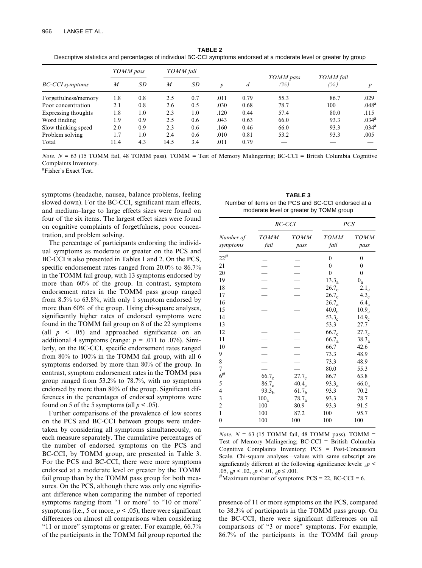| <b>TABLE 2</b>                                                                                                        |
|-----------------------------------------------------------------------------------------------------------------------|
| Descriptive statistics and percentages of individual BC-CCI symptoms endorsed at a moderate level or greater by group |

|                        |      | TOMM pass |      | TOMM fail |                  |      |                  |                  |                   |
|------------------------|------|-----------|------|-----------|------------------|------|------------------|------------------|-------------------|
| <b>BC-CCI</b> symptoms | M    | SD        | M    | SD        | $\boldsymbol{p}$ | d    | TOMM pass<br>(%) | TOMM fail<br>(%) |                   |
| Forgetfulness/memory   | 1.8  | 0.8       | 2.5  | 0.7       | .011             | 0.79 | 55.3             | 86.7             | .029              |
| Poor concentration     | 2.1  | 0.8       | 2.6  | 0.5       | .030             | 0.68 | 78.7             | 100              | .048 <sup>a</sup> |
| Expressing thoughts    | 1.8  | 1.0       | 2.3  | 1.0       | .120             | 0.44 | 57.4             | 80.0             | .115              |
| Word finding           | 1.9  | 0.9       | 2.5  | 0.6       | .043             | 0.63 | 66.0             | 93.3             | .034 <sup>a</sup> |
| Slow thinking speed    | 2.0  | 0.9       | 2.3  | 0.6       | .160             | 0.46 | 66.0             | 93.3             | .034 <sup>a</sup> |
| Problem solving        | 1.7  | 1.0       | 2.4  | 0.6       | .010             | 0.81 | 53.2             | 93.3             | .005              |
| Total                  | 11.4 | 4.3       | 14.5 | 3.4       | .011             | 0.79 |                  |                  |                   |

*Note.*  $N = 63$  (15 TOMM fail, 48 TOMM pass). TOMM = Test of Memory Malingering; BC-CCI = British Columbia Cognitive Complaints Inventory.

a Fisher's Exact Test.

symptoms (headache, nausea, balance problems, feeling slowed down). For the BC-CCI, significant main effects, and medium–large to large effects sizes were found on four of the six items. The largest effect sizes were found on cognitive complaints of forgetfulness, poor concentration, and problem solving.

The percentage of participants endorsing the individual symptoms as moderate or greater on the PCS and BC-CCI is also presented in Tables 1 and 2. On the PCS, specific endorsement rates ranged from 20.0% to 86.7% in the TOMM fail group, with 13 symptoms endorsed by more than 60% of the group. In contrast, symptom endorsement rates in the TOMM pass group ranged from 8.5% to 63.8%, with only 1 symptom endorsed by more than 60% of the group. Using chi-square analyses, significantly higher rates of endorsed symptoms were found in the TOMM fail group on 8 of the 22 symptoms (all  $p \leq .05$ ) and approached significance on an additional 4 symptoms (range:  $p = .071$  to .076). Similarly, on the BC-CCI, specific endorsement rates ranged from 80% to 100% in the TOMM fail group, with all 6 symptoms endorsed by more than 80% of the group. In contrast, symptom endorsement rates in the TOMM pass group ranged from 53.2% to 78.7%, with no symptoms endorsed by more than 80% of the group. Significant differences in the percentages of endorsed symptoms were found on 5 of the 5 symptoms (all  $p < .05$ ).

Further comparisons of the prevalence of low scores on the PCS and BC-CCI between groups were undertaken by considering all symptoms simultaneously, on each measure separately. The cumulative percentages of the number of endorsed symptoms on the PCS and BC-CCI, by TOMM group, are presented in Table 3. For the PCS and BC-CCI, there were more symptoms endorsed at a moderate level or greater by the TOMM fail group than by the TOMM pass group for both measures. On the PCS, although there was only one significant difference when comparing the number of reported symptoms ranging from "1 or more" to "10 or more" symptoms (i.e., 5 or more,  $p < .05$ ), there were significant differences on almost all comparisons when considering "11 or more" symptoms or greater. For example, 66.7% of the participants in the TOMM fail group reported the

| <b>TABLE 3</b>                                      |  |  |  |  |  |  |
|-----------------------------------------------------|--|--|--|--|--|--|
| Number of items on the PCS and BC-CCI endorsed at a |  |  |  |  |  |  |
| moderate level or greater by TOMM group             |  |  |  |  |  |  |

|                       |                     | $BC-CCI$            | <b>PCS</b>          |                     |  |
|-----------------------|---------------------|---------------------|---------------------|---------------------|--|
| Number of<br>symptoms | <b>TOMM</b><br>fail | <b>TOMM</b><br>pass | <b>TOMM</b><br>fail | <b>TOMM</b><br>pass |  |
| $22^{#}$              |                     |                     | $\theta$            | $\theta$            |  |
| 21                    |                     |                     | $\theta$            | $\theta$            |  |
| 20                    |                     |                     | $\theta$            | $\theta$            |  |
| 19                    |                     |                     | $13.3_a$            | $0_a$               |  |
| 18                    |                     |                     | $26.7_c$            | 2.1 <sub>c</sub>    |  |
| 17                    |                     |                     | $26.7_c$            | 4.3 <sub>c</sub>    |  |
| 16                    |                     |                     | $26.7_a$            | 6.4 <sub>a</sub>    |  |
| 15                    |                     |                     | 40.0 <sub>c</sub>   | 10.9 <sub>c</sub>   |  |
| 14                    |                     |                     | 53.3 <sub>c</sub>   | 14.9 <sub>c</sub>   |  |
| 13                    | $\overline{a}$      |                     | 53.3                | 27.7                |  |
| 12                    |                     |                     | $66.7_c$            | $27.7_c$            |  |
| 11                    |                     |                     | $66.7_a$            | $38.3_a$            |  |
| 10                    |                     |                     | 66.7                | 42.6                |  |
| 9                     |                     |                     | 73.3                | 48.9                |  |
| 8                     |                     |                     | 73.3                | 48.9                |  |
| 7                     |                     |                     | 80.0                | 55.3                |  |
| $6^{\#}$              | $66.7_c$            | $27.7_c$            | 86.7                | 63.8                |  |
| 5                     | $86.7_c$            | 40.4 <sub>c</sub>   | $93.3_a$            | $66.0_a$            |  |
| $\overline{4}$        | 93.3 <sub>b</sub>   | 61.7 <sub>b</sub>   | 93.3                | 70.2                |  |
| 3                     | $100_a$             | $78.7_a$            | 93.3                | 78.7                |  |
| $\overline{2}$        | 100                 | 80.9                | 93.3                | 91.5                |  |
| $\mathbf{1}$          | 100                 | 87.2                | 100                 | 95.7                |  |
| $\theta$              | 100                 | 100                 | 100                 | 100                 |  |

*Note. N* = 63 (15 TOMM fail, 48 TOMM pass). TOMM = Test of Memory Malingering; BC-CCI = British Columbia Cognitive Complaints Inventory; PCS = Post-Concussion Scale. Chi-square analyses—values with same subscript are significantly different at the following significance levels:  $_{a}p < .05$ ,  $_{b}p < .02$ ,  $_{c}p < .01$ ,  $_{d}p \le .001$ .

 $*$ Maximum number of symptoms: PCS = 22, BC-CCI = 6.

presence of 11 or more symptoms on the PCS, compared to 38.3% of participants in the TOMM pass group. On the BC-CCI, there were significant differences on all comparisons of "3 or more" symptoms. For example, 86.7% of the participants in the TOMM fail group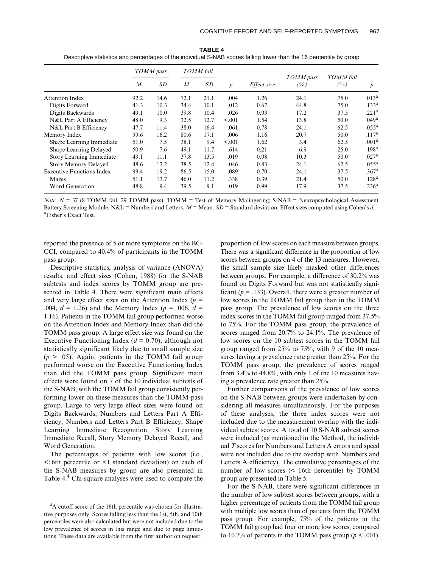|                                  | TOMM pass |      | TOMM fail |           |                  |             |                     |                  |                   |
|----------------------------------|-----------|------|-----------|-----------|------------------|-------------|---------------------|------------------|-------------------|
|                                  | M         | SD   | M         | <b>SD</b> | $\boldsymbol{p}$ | Effect size | TOMM pass<br>$(\%)$ | TOMM fail<br>(%) | $\boldsymbol{p}$  |
| Attention Index                  | 92.2      | 14.6 | 72.1      | 21.1      | .004             | 1.26        | 24.1                | 75.0             | .013 <sup>a</sup> |
| Digits Forward                   | 41.3      | 10.3 | 34.4      | 10.1      | .012             | 0.67        | 44.8                | 75.0             | .133 <sup>a</sup> |
| Digits Backwards                 | 49.1      | 10.0 | 39.8      | 10.4      | .026             | 0.93        | 17.2                | 37.5             | .221 <sup>a</sup> |
| N&L Part A Efficiency            | 48.0      | 9.3  | 32.5      | 12.7      | < 0.001          | 1.54        | 13.8                | 50.0             | .049 <sup>a</sup> |
| N&L Part B Efficiency            | 47.7      | 11.4 | 38.0      | 16.4      | .061             | 0.78        | 24.1                | 62.5             | .055 <sup>a</sup> |
| Memory Index                     | 99.6      | 16.2 | 80.6      | 17.1      | .006             | 1.16        | 20.7                | 50.0             | .117 <sup>a</sup> |
| Shape Learning Immediate         | 51.0      | 7.5  | 38.1      | 9.4       | < 0.001          | 1.62        | 3.4                 | 62.5             | .001 <sup>a</sup> |
| Shape Learning Delayed           | 50.9      | 7.6  | 49.1      | 11.7      | .614             | 0.21        | 6.9                 | 25.0             | .198 <sup>a</sup> |
| Story Learning Immediate         | 49.1      | 11.1 | 37.8      | 13.5      | .019             | 0.98        | 10.3                | 50.0             | .027 <sup>a</sup> |
| <b>Story Memory Delayed</b>      | 48.6      | 12.2 | 38.5      | 12.4      | .046             | 0.83        | 24.1                | 62.5             | .055 <sup>a</sup> |
| <b>Executive Functions Index</b> | 99.4      | 19.2 | 86.5      | 15.0      | .089             | 0.70        | 24.1                | 37.5             | .367 <sup>a</sup> |
| Mazes                            | 51.1      | 13.7 | 46.0      | 11.2      | .338             | 0.39        | 21.4                | 50.0             | .128 <sup>a</sup> |
| Word Generation                  | 48.8      | 9.4  | 39.5      | 9.1       | .019             | 0.99        | 17.9                | 37.5             | .236 <sup>a</sup> |

**TABLE 4**  Descriptive statistics and percentages of the individual S-NAB scores falling lower than the 16 percentile by group

*Note.*  $N = 37$  (8 TOMM fail, 29 TOMM pass). TOMM = Test of Memory Malingering; S-NAB = Neuropsychological Assessment Battery Screening Module. N&L = Numbers and Letters. *M* = Mean. *SD* = Standard deviation. Effect sizes computed using Cohen's *d*. a Fisher's Exact Test.

reported the presence of 5 or more symptoms on the BC-CCI, compared to 40.4% of participants in the TOMM pass group.

Descriptive statistics, analysis of variance (ANOVA) results, and effect sizes (Cohen, 1988) for the S-NAB subtests and index scores by TOMM group are presented in Table 4. There were significant main effects and very large effect sizes on the Attention Index ( $p =$ .004, *d* = 1.26) and the Memory Index (*p* = .006, *d* = 1.16). Patients in the TOMM fail group performed worse on the Attention Index and Memory Index than did the TOMM pass group. A large effect size was found on the Executive Functioning Index ( $d = 0.70$ ), although not statistically significant likely due to small sample size  $(p > .05)$ . Again, patients in the TOMM fail group performed worse on the Executive Functioning Index than did the TOMM pass group. Significant main effects were found on 7 of the 10 individual subtests of the S-NAB, with the TOMM fail group consistently performing lower on these measures than the TOMM pass group. Large to very large effect sizes were found on Digits Backwards, Numbers and Letters Part A Efficiency, Numbers and Letters Part B Efficiency, Shape Learning Immediate Recognition, Story Learning Immediate Recall, Story Memory Delayed Recall, and Word Generation.

The percentages of patients with low scores (i.e., <16th percentile or <1 standard deviation) on each of the S-NAB measures by group are also presented in Table 4.<sup>4</sup> Chi-square analyses were used to compare the

proportion of low scores on each measure between groups. There was a significant difference in the proportion of low scores between groups on 4 of the 13 measures. However, the small sample size likely masked other differences between groups. For example, a difference of 30.2% was found on Digits Forward but was not statistically significant ( $p = .133$ ). Overall, there were a greater number of low scores in the TOMM fail group than in the TOMM pass group. The prevalence of low scores on the three index scores in the TOMM fail group ranged from 37.5% to 75%. For the TOMM pass group, the prevalence of scores ranged from 20.7% to 24.1%. The prevalence of low scores on the 10 subtest scores in the TOMM fail group ranged from 25% to 75%, with 9 of the 10 measures having a prevalence rate greater than 25%. For the TOMM pass group, the prevalence of scores ranged from 3.4% to 44.8%, with only 1 of the 10 measures having a prevalence rate greater than 25%.

Further comparisons of the prevalence of low scores on the S-NAB between groups were undertaken by considering all measures simultaneously. For the purposes of these analyses, the three index scores were not included due to the measurement overlap with the individual subtest scores. A total of 10 S-NAB subtest scores were included (as mentioned in the Method, the individual *T* scores for Numbers and Letters A errors and speed were not included due to the overlap with Numbers and Letters A efficiency). The cumulative percentages of the number of low scores (< 16th percentile) by TOMM group are presented in Table 5.

For the S-NAB, there were significant differences in the number of low subtest scores between groups, with a higher percentage of patients from the TOMM fail group with multiple low scores than of patients from the TOMM pass group. For example, 75% of the patients in the TOMM fail group had four or more low scores, compared to 10.7% of patients in the TOMM pass group ( $p < .001$ ).

<sup>&</sup>lt;sup>4</sup>A cutoff score of the 16th percentile was chosen for illustrative purposes only. Scores falling less than the 1st, 5th, and 10th percentiles were also calculated but were not included due to the low prevalence of scores in this range and due to page limitations. These data are available from the first author on request.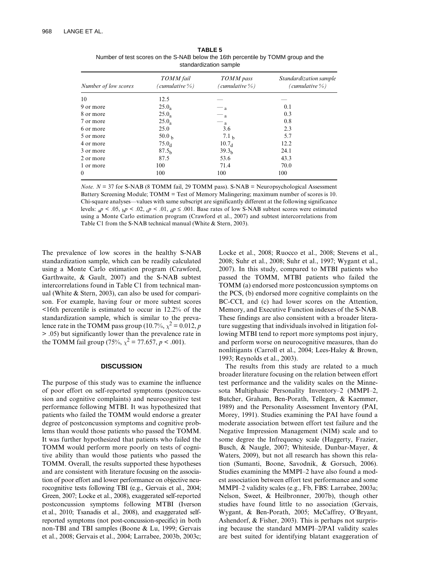| Number of low scores | TOMM fail<br>cumulative %) | TOMM pass<br>$'$ cumulative $\%$ ) | Standardization sample<br>(cumulative $\%$ ) |
|----------------------|----------------------------|------------------------------------|----------------------------------------------|
| 10                   | 12.5                       |                                    |                                              |
| 9 or more            | $25.0_a$                   | a                                  | 0.1                                          |
| 8 or more            | $25.0_a$                   | 'а                                 | 0.3                                          |
| 7 or more            | $25.0_a$                   | a                                  | 0.8                                          |
| 6 or more            | 25.0                       | 3.6                                | 2.3                                          |
| 5 or more            | 50.0 <sub>h</sub>          | 7.1 <sub>h</sub>                   | 5.7                                          |
| 4 or more            | $75.0_{d}$                 | 10.7 <sub>d</sub>                  | 12.2                                         |
| 3 or more            | 87.5 <sub>h</sub>          | 39.3 <sub>h</sub>                  | 24.1                                         |
| 2 or more            | 87.5                       | 53.6                               | 43.3                                         |
| 1 or more            | 100                        | 71.4                               | 70.0                                         |
| $\theta$             | 100                        | 100                                | 100                                          |

**TABLE 5**  Number of test scores on the S-NAB below the 16th percentile by TOMM group and the standardization sample

*Note.*  $N = 37$  for S-NAB (8 TOMM fail, 29 TOMM pass). S-NAB = Neuropsychological Assessment Battery Screening Module; TOMM = Test of Memory Malingering; maximum number of scores is 10. Chi-square analyses—values with same subscript are significantly different at the following significance levels:  $a_p < .05$ ,  $b_p < .02$ ,  $c_p < .01$ ,  $d_p \le .001$ . Base rates of low S-NAB subtest scores were estimated using a Monte Carlo estimation program (Crawford et al., 2007) and subtest intercorrelations from Table C1 from the S-NAB technical manual (White & Stern, 2003).

The prevalence of low scores in the healthy S-NAB standardization sample, which can be readily calculated using a Monte Carlo estimation program (Crawford, Garthwaite, & Gault, 2007) and the S-NAB subtest intercorrelations found in Table C1 from technical manual (White & Stern, 2003), can also be used for comparison. For example, having four or more subtest scores <16th percentile is estimated to occur in 12.2% of the standardization sample, which is similar to the prevalence rate in the TOMM pass group (10.7%,  $\chi^2 = 0.012$ , *p* > .05) but significantly lower than the prevalence rate in the TOMM fail group (75%,  $\chi^2 = 77.657$ ,  $p < .001$ ).

#### **DISCUSSION**

The purpose of this study was to examine the influence of poor effort on self-reported symptoms (postconcussion and cognitive complaints) and neurocognitive test performance following MTBI. It was hypothesized that patients who failed the TOMM would endorse a greater degree of postconcussion symptoms and cognitive problems than would those patients who passed the TOMM. It was further hypothesized that patients who failed the TOMM would perform more poorly on tests of cognitive ability than would those patients who passed the TOMM. Overall, the results supported these hypotheses and are consistent with literature focusing on the association of poor effort and lower performance on objective neurocognitive tests following TBI (e.g., Gervais et al., 2004; Green, 2007; Locke et al., 2008), exaggerated self-reported postconcussion symptoms following MTBI (Iverson et al., 2010; Tsanadis et al., 2008), and exaggerated selfreported symptoms (not post-concussion-specific) in both non-TBI and TBI samples (Boone & Lu, 1999; Gervais et al., 2008; Gervais et al., 2004; Larrabee, 2003b, 2003c;

Locke et al., 2008; Ruocco et al., 2008; Stevens et al., 2008; Suhr et al., 2008; Suhr et al., 1997; Wygant et al., 2007). In this study, compared to MTBI patients who passed the TOMM, MTBI patients who failed the TOMM (a) endorsed more postconcussion symptoms on the PCS, (b) endorsed more cognitive complaints on the BC-CCI, and (c) had lower scores on the Attention, Memory, and Executive Function indexes of the S-NAB. These findings are also consistent with a broader literature suggesting that individuals involved in litigation following MTBI tend to report more symptoms post injury, and perform worse on neurocognitive measures, than do nonlitigants (Carroll et al., 2004; Lees-Haley & Brown, 1993; Reynolds et al., 2003).

The results from this study are related to a much broader literature focusing on the relation between effort test performance and the validity scales on the Minnesota Multiphasic Personality Inventory–2 (MMPI–2, Butcher, Graham, Ben-Porath, Tellegen, & Kaemmer, 1989) and the Personality Assessment Inventory (PAI, Morey, 1991). Studies examining the PAI have found a moderate association between effort test failure and the Negative Impression Management (NIM) scale and to some degree the Infrequency scale (Haggerty, Frazier, Busch, & Naugle, 2007; Whiteside, Dunbar-Mayer, & Waters, 2009), but not all research has shown this relation (Sumanti, Boone, Savodnik, & Gorsuch, 2006). Studies examining the MMPI–2 have also found a modest association between effort test performance and some MMPI–2 validity scales (e.g., Fb, FBS: Larrabee, 2003a; Nelson, Sweet, & Heilbronner, 2007b), though other studies have found little to no association (Gervais, Wygant, & Ben-Porath, 2005; McCaffrey, O'Bryant, Ashendorf, & Fisher, 2003). This is perhaps not surprising because the standard MMPI–2/PAI validity scales are best suited for identifying blatant exaggeration of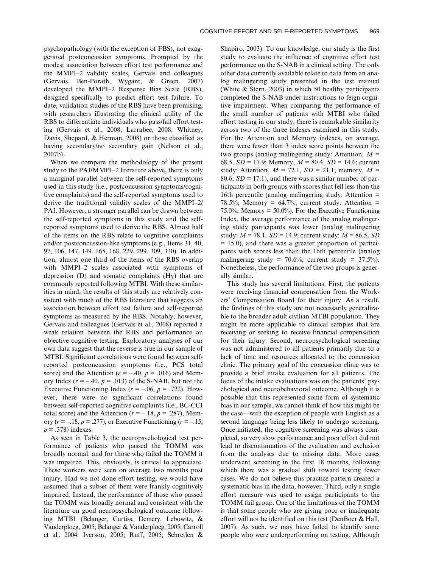psychopathology (with the exception of FBS), not exaggerated postconcussion symptoms. Prompted by the modest association between effort test performance and the MMPI–2 validity scales, Gervais and colleagues (Gervais, Ben-Porath, Wygant, & Green, 2007) developed the MMPI–2 Response Bias Scale (RBS), designed specifically to predict effort test failure. To date, validation studies of the RBS have been promising, with researchers illustrating the clinical utility of the RBS to differentiate individuals who pass/fail effort testing (Gervais et al., 2008; Larrabee, 2008; Whitney, Davis, Shepard, & Herman, 2008) or those classified as having secondary/no secondary gain (Nelson et al., 2007b).

When we compare the methodology of the present study to the PAI/MMPI–2 literature above, there is only a marginal parallel between the self-reported symptoms used in this study (i.e., postconcussion symptoms/cognitive complaints) and the self-reported symptoms used to derive the traditional validity scales of the MMPI–2/ PAI. However, a stronger parallel can be drawn between the self-reported symptoms in this study and the selfreported symptoms used to derive the RBS. Almost half of the items on the RBS relate to cognitive complaints and/or postconcussion-like symptoms (e.g., Items 31, 40, 97, 106, 147, 149, 165, 168, 229, 299, 309, 330). In addition, almost one third of the items of the RBS overlap with MMPI–2 scales associated with symptoms of depression (D) and somatic complaints (Hy) that are commonly reported following MTBI. With these similarities in mind, the results of this study are relatively consistent with much of the RBS literature that suggests an association between effort test failure and self-reported symptoms as measured by the RBS. Notably, however, Gervais and colleagues (Gervais et al., 2008) reported a weak relation between the RBS and performance on objective cognitive testing. Exploratory analyses of our own data suggest that the reverse is true in our sample of MTBI. Significant correlations were found between selfreported postconcussion symptoms (i.e., PCS total score) and the Attention ( $r = -.40$ ,  $p = .016$ ) and Memory Index  $(r = -.40, p = .013)$  of the S-NAB, but not the Executive Functioning Index ( $r = -0.06$ ,  $p = .722$ ). However, there were no significant correlations found between self-reported cognitive complaints (i.e., BC-CCI total score) and the Attention ( $r = -18$ ,  $p = .287$ ), Memory (*r* = –.18, *p* = .277), or Executive Functioning (*r* = –.15, *p* = .378) indexes.

As seen in Table 3, the neuropsychological test performance of patients who passed the TOMM was broadly normal, and for those who failed the TOMM it was impaired. This, obviously, is critical to appreciate. These workers were seen on average two months post injury. Had we not done effort testing, we would have assumed that a subset of them were frankly cognitively impaired. Instead, the performance of those who passed the TOMM was broadly normal and consistent with the literature on good neuropsychological outcome following MTBI (Belanger, Curtiss, Demery, Lebowitz, & Vanderploeg, 2005; Belanger & Vanderploeg, 2005; Carroll et al., 2004; Iverson, 2005; Ruff, 2005; Schretlen &

Shapiro, 2003). To our knowledge, our study is the first study to evaluate the influence of cognitive effort test performance on the S-NAB in a clinical setting. The only other data currently available relate to data from an analog malingering study presented in the test manual (White & Stern, 2003) in which 50 healthy participants completed the S-NAB under instructions to feign cognitive impairment. When comparing the performance of the small number of patients with MTBI who failed effort testing in our study, there is remarkable similarity across two of the three indexes examined in this study. For the Attention and Memory indexes, on average, there were fewer than 3 index score points between the two groups (analog malingering study: Attention, *M* = 68.5, *SD* = 17.9; Memory, *M* = 80.4, *SD* = 14.6; current study: Attention,  $M = 72.1$ ,  $SD = 21.1$ ; memory,  $M =$ 80.6,  $SD = 17.1$ ), and there was a similar number of participants in both groups with scores that fell less than the 16th percentile (analog malingering study: Attention = 78.5%; Memory =  $64.7\%$ ; current study: Attention = 75.0%; Memory =  $50.0\%$ ). For the Executive Functioning Index, the average performance of the analog malingering study participants was lower (analog malingering study:  $M = 78.1$ ,  $SD = 14.9$ ; current study:  $M = 86.5$ , *SD* = 15.0), and there was a greater proportion of participants with scores less than the 16th percentile (analog malingering study =  $70.6\%$ ; current study =  $37.5\%$ ). Nonetheless, the performance of the two groups is generally similar.

This study has several limitations. First, the patients were receiving financial compensation from the Workers' Compensation Board for their injury. As a result, the findings of this study are not necessarily generalizable to the broader adult civilian MTBI population. They might be more applicable to clinical samples that are receiving or seeking to receive financial compensation for their injury. Second, neuropsychological screening was not administered to all patients primarily due to a lack of time and resources allocated to the concussion clinic. The primary goal of the concussion clinic was to provide a brief intake evaluation for all patients. The focus of the intake evaluations was on the patients' psychological and neurobehavioral outcome. Although it is possible that this represented some form of systematic bias in our sample, we cannot think of how this might be the case—with the exception of people with English as a second language being less likely to undergo screening. Once initiated, the cognitive screening was always completed, so very slow performance and poor effort did not lead to discontinuation of the evaluation and exclusion from the analyses due to missing data. More cases underwent screening in the first 18 months, following which there was a gradual shift toward testing fewer cases. We do not believe this practice pattern created a systematic bias in the data, however. Third, only a single effort measure was used to assign participants to the TOMM fail group. One of the limitations of the TOMM is that some people who are giving poor or inadequate effort will not be identified on this test (DenBoer & Hall, 2007). As such, we may have failed to identify some people who were underperforming on testing. Although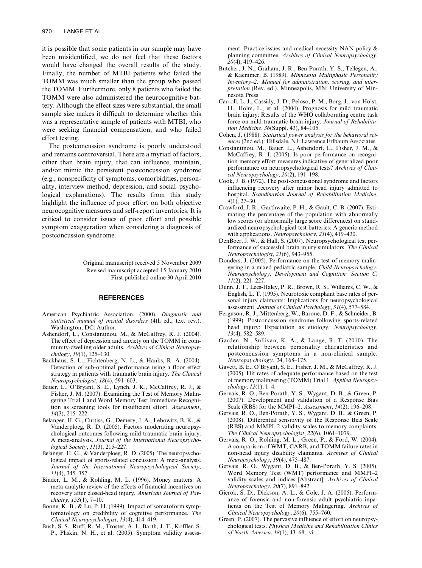it is possible that some patients in our sample may have been misidentified, we do not feel that these factors would have changed the overall results of the study. Finally, the number of MTBI patients who failed the TOMM was much smaller than the group who passed the TOMM. Furthermore, only 8 patients who failed the TOMM were also administered the neurocognitive battery. Although the effect sizes were substantial, the small sample size makes it difficult to determine whether this was a representative sample of patients with MTBI, who were seeking financial compensation, and who failed effort testing.

The postconcussion syndrome is poorly understood and remains controversial. There are a myriad of factors, other than brain injury, that can influence, maintain, and/or mimic the persistent postconcussion syndrome (e.g., nonspecificity of symptoms, comorbidities, personality, interview method, depression, and social–psychological explanations). The results from this study highlight the influence of poor effort on both objective neurocognitive measures and self-report inventories. It is critical to consider issues of poor effort and possible symptom exaggeration when considering a diagnosis of postconcussion syndrome.

> Original manuscript received 5 November 2009 Revised manuscript accepted 15 January 2010 First published online 30 April 2010

#### **REFERENCES**

- American Psychiatric Association. (2000). *Diagnostic and statistical manual of mental disorders* (4th ed., text rev.). Washington, DC: Author.
- Ashendorf, L., Constantinou, M., & McCaffrey, R. J. (2004). The effect of depression and anxiety on the TOMM in community-dwelling older adults. *Archives of Clinical Neuropsychology*, *19*(1), 125–130.
- Backhaus, S. L., Fichtenberg, N. L., & Hanks, R. A. (2004). Detection of sub-optimal performance using a floor effect strategy in patients with traumatic brain injury. *The Clinical Neuropsychologist*, *18*(4), 591–603.
- Bauer, L., O'Bryant, S. E., Lynch, J. K., McCaffrey, R. J., & Fisher, J. M. (2007). Examining the Test of Memory Malingering Trial 1 and Word Memory Test Immediate Recognition as screening tools for insufficient effort. *Assessment*, *14*(3), 215–222.
- Belanger, H. G., Curtiss, G., Demery, J. A., Lebowitz, B. K., & Vanderploeg, R. D. (2005). Factors moderating neuropsychological outcomes following mild traumatic brain injury: A meta-analysis. *Journal of the International Neuropsychological Society*, *11*(3), 215–227.
- Belanger, H. G., & Vanderploeg, R. D. (2005). The neuropsychological impact of sports-related concussion: A meta-analysis. *Journal of the International Neuropsychological Society*, *11*(4), 345–357.
- Binder, L. M., & Rohling, M. L. (1996). Money matters: A meta-analytic review of the effects of financial incentives on recovery after closed-head injury. *American Journal of Psychiatry*, *153*(1), 7–10.
- Boone, K. B., & Lu, P. H. (1999). Impact of somatoform symptomatology on credibility of cognitive performance. *The Clinical Neuropsychologist*, *13*(4), 414–419.
- Bush, S. S., Ruff, R. M., Troster, A. I., Barth, J. T., Koffler, S. P., Pliskin, N. H., et al. (2005). Symptom validity assess-

ment: Practice issues and medical necessity NAN policy & planning committee. *Archives of Clinical Neuropsychology*, *20*(4), 419–426.

- Butcher, J. N., Graham, J. R., Ben-Porath, Y. S., Tellegen, A., & Kaemmer, B. (1989). *Minnesota Multiphasic Personality Inventory–2: Manual for administration, scoring, and interpretation* (Rev. ed.). Minneapolis, MN: University of Minnesota Press.
- Carroll, L. J., Cassidy, J. D., Peloso, P. M., Borg, J., von Holst, H., Holm, L., et al. (2004). Prognosis for mild traumatic brain injury: Results of the WHO collaborating centre task force on mild traumatic brain injury. *Journal of Rehabilitation Medicine*, *36*(Suppl. 43), 84–105.
- Cohen, J. (1988). *Statistical power analysis for the behavioral sciences* (2nd ed.). Hillsdale, NJ: Lawrence Erlbaum Associates.
- Constantinou, M., Bauer, L., Ashendorf, L., Fisher, J. M., & McCaffrey, R. J. (2005). Is poor performance on recognition memory effort measures indicative of generalized poor performance on neuropsychological tests? *Archives of Clinical Neuropsychology*, *20*(2), 191–198.
- Cook, J. B. (1972). The post-concussional syndrome and factors influencing recovery after minor head injury admitted to hospital. *Scandinavian Journal of Rehabilitation Medicine*, *4*(1), 27–30.
- Crawford, J. R., Garthwaite, P. H., & Gault, C. B. (2007). Estimating the percentage of the population with abnormally low scores (or abnormally large score differences) on standardized neuropsychological test batteries: A generic method with applications. *Neuropsychology*, *21*(4), 419–430.
- DenBoer, J. W., & Hall, S. (2007). Neuropsychological test performance of successful brain injury simulators. *The Clinical Neuropsychologist*, *21*(6), 943–955.
- Donders, J. (2005). Performance on the test of memory malingering in a mixed pediatric sample. *Child Neuropsychology: Neuropsychology, Development and Cognition: Section C*, *11*(2), 221–227.
- Dunn, J. T., Lees-Haley, P. R., Brown, R. S., Williams, C. W., & English, L. T. (1995). Neurotoxic complaint base rates of personal injury claimants: Implications for neuropsychological assessment. *Journal of Clinical Psychology*, *51*(4), 577–584.
- Ferguson, R. J., Mittenberg, W., Barone, D. F., & Schneider, B. (1999). Postconcussion syndrome following sports-related head injury: Expectation as etiology. *Neuropsychology*, *13*(4), 582–589.
- Garden, N., Sullivan, K. A., & Lange, R. T. (2010). The relationship between personality characteristics and postconcussion symptoms in a non-clinical sample. *Neuropsychology*, 24, 168–175.
- Gavett, B. E., O'Bryant, S. E., Fisher, J. M., & McCaffrey, R. J. (2005). Hit rates of adequate performance based on the test of memory malingering (TOMM) Trial 1. *Applied Neuropsychology*, *12*(1), 1–4.
- Gervais, R. O., Ben-Porath, Y. S., Wygant, D. B., & Green, P. (2007). Development and validation of a Response Bias Scale (RBS) for the MMPI–2. *Assessment*, *14*(2), 196–208.
- Gervais, R. O., Ben-Porath, Y. S., Wygant, D. B., & Green, P. (2008). Differential sensitivity of the Response Bias Scale (RBS) and MMPI–2 validity scales to memory complaints. *The Clinical Neuropsychologist*, *22*(6), 1061–1079.
- Gervais, R. O., Rohling, M. L., Green, P., & Ford, W. (2004). A comparison of WMT, CARB, and TOMM failure rates in non-head injury disability claimants. *Archives of Clinical Neuropsychology*, *19*(4), 475–487.
- Gervais, R. O., Wygant, D. B., & Ben-Porath, Y. S. (2005). Word Memory Test (WMT) performance and MMPI–2 validity scales and indices [Abstract]. *Archives of Clinical Neuropsychology*, *20*(7), 891–892.
- Gierok, S. D., Dickson, A. L., & Cole, J. A. (2005). Performance of forensic and non-forensic adult psychiatric inpatients on the Test of Memory Malingering. *Archives of Clinical Neuropsychology*, *20*(6), 755–760.
- Green, P. (2007). The pervasive influence of effort on neuropsychological tests. *Physical Medicine and Rehabilitation Clinics of North America*, *18*(1), 43–68, vi.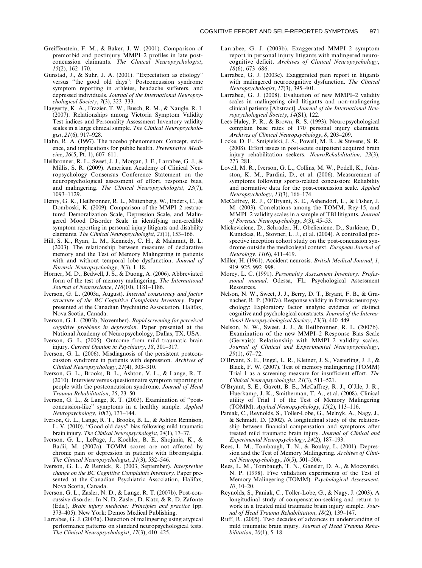- Greiffenstein, F. M., & Baker, J. W. (2001). Comparison of premorbid and postinjury MMPI–2 profiles in late postconcussion claimants. *The Clinical Neuropsychologist*, *15*(2), 162–170.
- Gunstad, J., & Suhr, J. A. (2001). "Expectation as etiology" versus "the good old days": Postconcussion syndrome symptom reporting in athletes, headache sufferers, and depressed individuals. *Journal of the International Neuropsychological Society*, *7*(3), 323–333.
- Haggerty, K. A., Frazier, T. W., Busch, R. M., & Naugle, R. I. (2007). Relationships among Victoria Symptom Validity Test indices and Personality Assessment Inventory validity scales in a large clinical sample. *The Clinical Neuropsychologist*, *21*(6), 917–928.
- Hahn, R. A. (1997). The nocebo phenomenon: Concept, evidence, and implications for public health. *Preventative Medicine*, *26*(5, Pt. 1), 607–611.
- Heilbronner, R. L., Sweet, J. J., Morgan, J. E., Larrabee, G. J., & Millis, S. R. (2009). American Academy of Clinical Neuropsychology Consensus Conference Statement on the neuropsychological assessment of effort, response bias, and malingering. *The Clinical Neuropsychologist*, *23*(7), 1093–1129.
- Henry, G. K., Heilbronner, R. L., Mittenberg, W., Enders, C., & Domboski, K. (2009). Comparison of the MMPI–2 restructured Demoralization Scale, Depression Scale, and Malingered Mood Disorder Scale in identifying non-credible symptom reporting in personal injury litigants and disability claimants. *The Clinical Neuropsychologist*, *23*(1), 153–166.
- Hill, S. K., Ryan, L. M., Kennedy, C. H., & Malamut, B. L. (2003). The relationship between measures of declarative memory and the Test of Memory Malingering in patients with and without temporal lobe dysfunction. *Journal of Forensic Neuropsychology*, *3*(3), 1–18.
- Horner, M. D., Bedwell, J. S., & Duong, A. (2006). Abbreviated form of the test of memory malingering. *The International Journal of Neuroscience*, *116*(10), 1181–1186.
- Iverson, G. L. (2003a, August). *Internal consistency and factor structure of the BC Cognitive Complaints Inventory*. Paper presented at the Canadian Psychiatric Association, Halifax, Nova Scotia, Canada.
- Iverson, G. L. (2003b, November). *Rapid screening for perceived cognitive problems in depression*. Paper presented at the National Academy of Neuropsychology, Dallas, TX, USA.
- Iverson, G. L. (2005). Outcome from mild traumatic brain injury. *Current Opinion in Psychiatry*, *18*, 301–317.
- Iverson, G. L. (2006). Misdiagnosis of the persistent postconcussion syndrome in patients with depression. *Archives of Clinical Neuropsychology*, *21*(4), 303–310.
- Iverson, G. L., Brooks, B. L., Ashton, V. L., & Lange, R. T. (2010). Interview versus questionnaire symptom reporting in people with the postconcussion syndrome. *Journal of Head Trauma Rehabilitation*, *25*, 23–50.
- Iverson, G. L., & Lange, R. T. (2003). Examination of "postconcussion-like" symptoms in a healthy sample. *Applied Neuropsychology*, *10*(3), 137–144.
- Iverson, G. L., Lange, R. T., Brooks, B. L., & Ashton Rennison, L. V. (2010). "Good old days" bias following mild traumatic brain injury. *The Clinical Neuropsychologist*, *24*(1), 17–37.
- Iverson, G. L., LePage, J., Koehler, B. E., Shojania, K., & Badii, M. (2007a). TOMM scores are not affected by chronic pain or depression in patients with fibromyalgia. *The Clinical Neuropsychologist*, *21*(3), 532–546.
- Iverson, G. L., & Remick, R. (2003, September). *Interpreting change on the BC Cognitive Complaints Inventory*. Paper presented at the Canadian Psychiatric Association, Halifax, Nova Scotia, Canada.
- Iverson, G. L., Zasler, N. D., & Lange, R. T. (2007b). Post-concussive disorder. In N. D. Zasler, D. Katz, & R. D. Zafonte (Eds.), *Brain injury medicine: Principles and practice* (pp. 373–405). New York: Demos Medical Publishing.
- Larrabee, G. J. (2003a). Detection of malingering using atypical performance patterns on standard neuropsychological tests. *The Clinical Neuropsychologist*, *17*(3), 410–425.
- Larrabee, G. J. (2003b). Exaggerated MMPI–2 symptom report in personal injury litigants with malingered neurocognitive deficit. *Archives of Clinical Neuropsychology*, *18*(6), 673–686.
- Larrabee, G. J. (2003c). Exaggerated pain report in litigants with malingered neurocognitive dysfunction. *The Clinical Neuropsychologist*, *17*(3), 395–401.
- Larrabee, G. J. (2008). Evaluation of new MMPI–2 validity scales in malingering civil litigants and non-malingering clinical patients [Abstract]. *Journal of the International Neuropsychological Society*, *14*(S1), 122.
- Lees-Haley, P. R., & Brown, R. S. (1993). Neuropsychological complain base rates of 170 personal injury claimants. *Archives of Clinical Neuropsychology*, *8*, 203–209.
- Locke, D. E., Smigielski, J. S., Powell, M. R., & Stevens, S. R. (2008). Effort issues in post-acute outpatient acquired brain injury rehabilitation seekers. *NeuroRehabilitation*, *23*(3), 273–281.
- Lovell, M. R., Iverson, G. L., Collins, M. W., Podell, K., Johnston, K. M., Pardini, D., et al. (2006). Measurement of symptoms following sports-related concussion: Reliability and normative data for the post-concussion scale. *Applied Neuropsychology*, *13*(3), 166–174.
- McCaffrey, R. J., O'Bryant, S. E., Ashendorf, L., & Fisher, J. M. (2003). Correlations among the TOMM, Rey-15, and MMPI–2 validity scales in a sample of TBI litigants. *Journal of Forensic Neuropsychology*, *3*(3), 45–53.
- Mickeviciene, D., Schrader, H., Obelieniene, D., Surkiene, D., Kunickas, R., Stovner, L. J., et al. (2004). A controlled prospective inception cohort study on the post-concussion syndrome outside the medicolegal context. *European Journal of Neurology*, *11*(6), 411–419.
- Miller, H. (1961). Accident neurosis. *British Medical Journal*, *1*, 919–925, 992–998.
- Morey, L. C. (1991). *Personality Assessment Inventory: Professional manual*. Odessa, FL: Psychological Assessment Resources.
- Nelson, N. W., Sweet, J. J., Berry, D. T., Bryant, F. B., & Granacher, R. P. (2007a). Response validity in forensic neuropsychology: Exploratory factor analytic evidence of distinct cognitive and psychological constructs. *Journal of the International Neuropsychological Society*, *13*(3), 440–449.
- Nelson, N. W., Sweet, J. J., & Heilbronner, R. L. (2007b). Examination of the new MMPI–2 Response Bias Scale (Gervais): Relationship with MMPI–2 validity scales. *Journal of Clinical and Experimental Neuropsychology*, *29*(1), 67–72.
- O'Bryant, S. E., Engel, L. R., Kleiner, J. S., Vasterling, J. J., & Black, F. W. (2007). Test of memory malingering (TOMM) Trial 1 as a screening measure for insufficient effort. *The Clinical Neuropsychologist*, *21*(3), 511–521.
- O'Bryant, S. E., Gavett, B. E., McCaffrey, R. J., O'Jile, J. R., Huerkamp, J. K., Smitherman, T. A., et al. (2008). Clinical utility of Trial 1 of the Test of Memory Malingering (TOMM). *Applied Neuropsychology*, *15*(2), 113–116.
- Paniak, C., Reynolds, S., Toller-Lobe, G., Melnyk, A., Nagy, J., & Schmidt, D. (2002). A longitudinal study of the relationship between financial compensation and symptoms after treated mild traumatic brain injury. *Journal of Clinical and Experimental Neuropsychology*, *24*(2), 187–193.
- Rees, L. M., Tombaugh, T. N., & Boulay, L. (2001). Depression and the Test of Memory Malingering. *Archives of Clinical Neuropsychology*, *16*(5), 501–506.
- Rees, L. M., Tombaugh, T. N., Gansler, D. A., & Moczynski, N. P. (1998). Five validation experiments of the Test of Memory Malingering (TOMM). *Psychological Assessment*, *10*, 10–20.
- Reynolds, S., Paniak, C., Toller-Lobe, G., & Nagy, J. (2003). A longitudinal study of compensation-seeking and return to work in a treated mild traumatic brain injury sample. *Journal of Head Trauma Rehabilitation*, *18*(2), 139–147.
- Ruff, R. (2005). Two decades of advances in understanding of mild traumatic brain injury. *Journal of Head Trauma Rehabilitation*, *20*(1), 5–18.